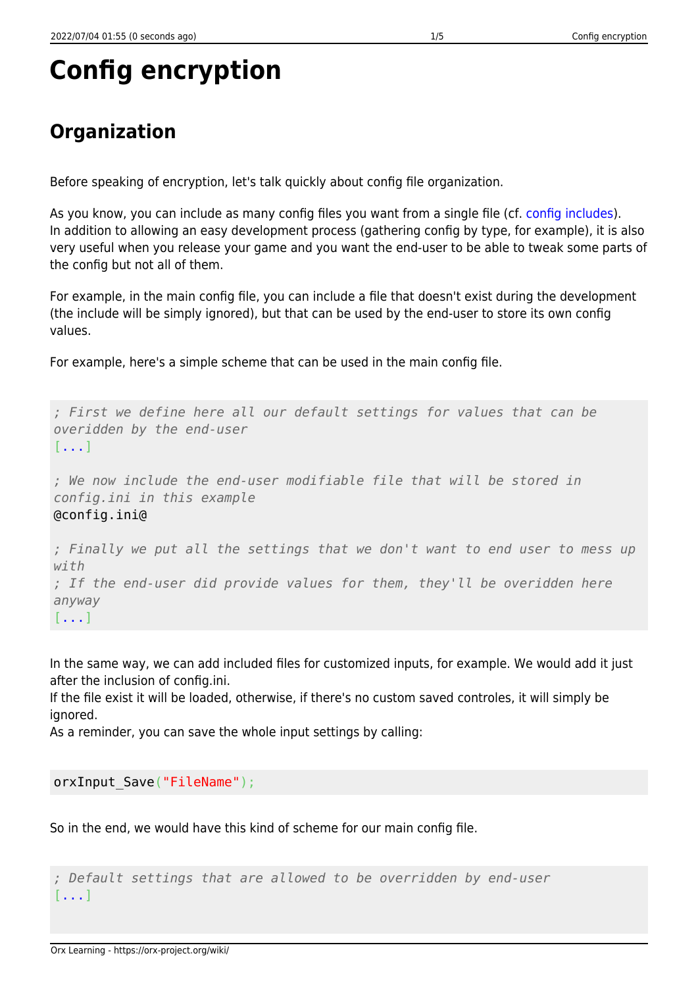# **Config encryption**

# **Organization**

Before speaking of encryption, let's talk quickly about config file organization.

As you know, you can include as many config files you want from a single file (cf. [config includes](https://orx-project.org/wiki/en/orx/config/syntax#includes)). In addition to allowing an easy development process (gathering config by type, for example), it is also very useful when you release your game and you want the end-user to be able to tweak some parts of the config but not all of them.

For example, in the main config file, you can include a file that doesn't exist during the development (the include will be simply ignored), but that can be used by the end-user to store its own config values.

For example, here's a simple scheme that can be used in the main config file.

*; First we define here all our default settings for values that can be overidden by the end-user* [...] *; We now include the end-user modifiable file that will be stored in config.ini in this example* @config.ini@ *; Finally we put all the settings that we don't want to end user to mess up with ; If the end-user did provide values for them, they'll be overidden here anyway* [...]

In the same way, we can add included files for customized inputs, for example. We would add it just after the inclusion of config.ini.

If the file exist it will be loaded, otherwise, if there's no custom saved controles, it will simply be ignored.

As a reminder, you can save the whole input settings by calling:

orxInput Save("FileName");

So in the end, we would have this kind of scheme for our main config file.

*; Default settings that are allowed to be overridden by end-user* [...]

Orx Learning - https://orx-project.org/wiki/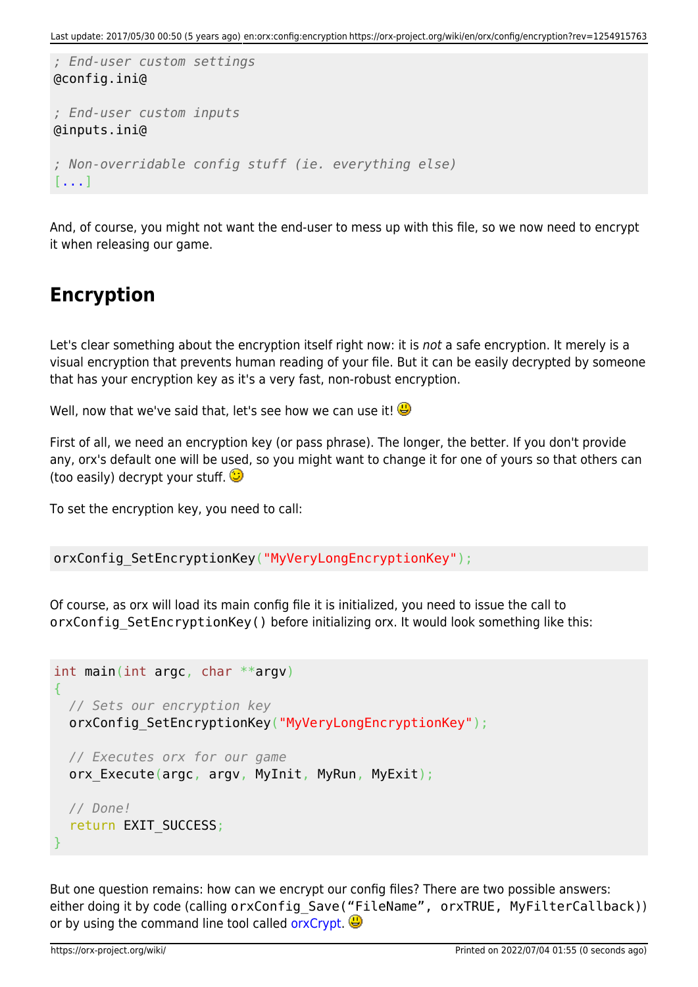```
; End-user custom settings
@config.ini@
; End-user custom inputs
@inputs.ini@
; Non-overridable config stuff (ie. everything else)
[...]
```
And, of course, you might not want the end-user to mess up with this file, so we now need to encrypt it when releasing our game.

# **Encryption**

Let's clear something about the encryption itself right now: it is not a safe encryption. It merely is a visual encryption that prevents human reading of your file. But it can be easily decrypted by someone that has your encryption key as it's a very fast, non-robust encryption.

Well, now that we've said that, let's see how we can use it!

First of all, we need an encryption key (or pass phrase). The longer, the better. If you don't provide any, orx's default one will be used, so you might want to change it for one of yours so that others can (too easily) decrypt your stuff.  $\bigcirc$ 

To set the encryption key, you need to call:

orxConfig SetEncryptionKey("MyVeryLongEncryptionKey");

Of course, as orx will load its main config file it is initialized, you need to issue the call to orxConfig SetEncryptionKey() before initializing orx. It would look something like this:

```
int main(int argc, char **argv)
{
  // Sets our encryption key
 orxConfig SetEncryptionKey("MyVeryLongEncryptionKey");
  // Executes orx for our game
 orx Execute(argc, argv, MyInit, MyRun, MyExit);
  // Done!
   return EXIT_SUCCESS;
}
```
<span id="page-1-0"></span>But one question remains: how can we encrypt our config files? There are two possible answers: either doing it by code (calling orxConfig Save("FileName", orxTRUE, MyFilterCallback)) or by using the command line tool called [orxCrypt](#page-1-0).  $\bigoplus$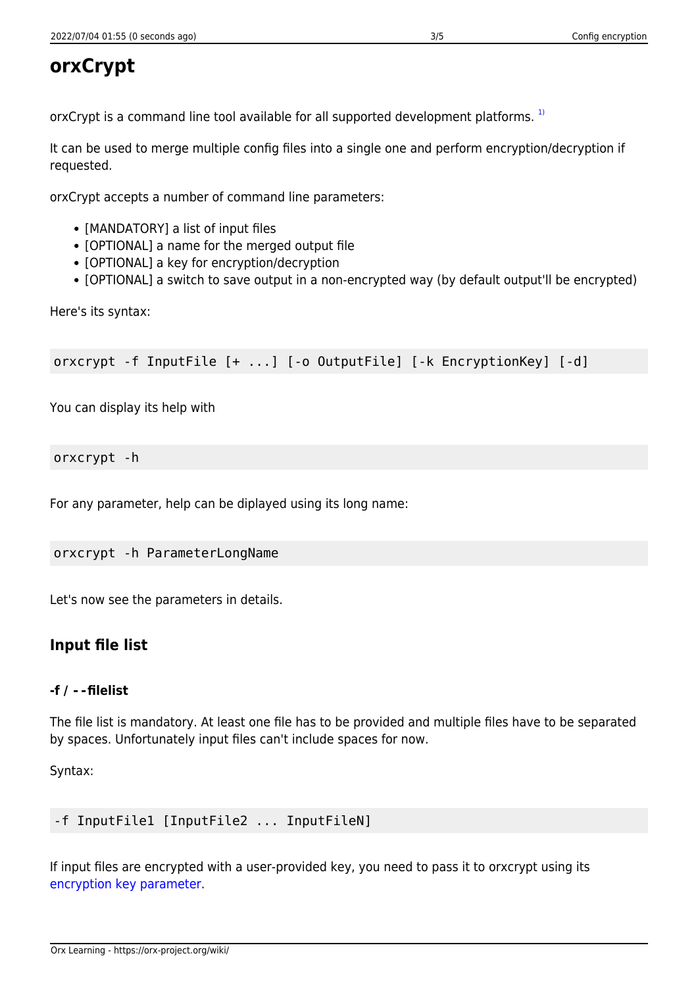# **orxCrypt**

orxCrypt is a command line tool available for all supported development platforms.<sup>[1\)](#page--1-0)</sup>

It can be used to merge multiple config files into a single one and perform encryption/decryption if requested.

orxCrypt accepts a number of command line parameters:

- [MANDATORY] a list of input files
- [OPTIONAL] a name for the merged output file
- [OPTIONAL] a key for encryption/decryption
- [OPTIONAL] a switch to save output in a non-encrypted way (by default output'll be encrypted)

Here's its syntax:

orxcrypt -f InputFile [+ ...] [-o OutputFile] [-k EncryptionKey] [-d]

You can display its help with

#### orxcrypt -h

For any parameter, help can be diplayed using its long name:

orxcrypt -h ParameterLongName

Let's now see the parameters in details.

## **Input file list**

#### **-f / --filelist**

The file list is mandatory. At least one file has to be provided and multiple files have to be separated by spaces. Unfortunately input files can't include spaces for now.

Syntax:

```
-f InputFile1 [InputFile2 ... InputFileN]
```
<span id="page-2-0"></span>If input files are encrypted with a user-provided key, you need to pass it to orxcrypt using its [encryption key parameter.](#page-2-0)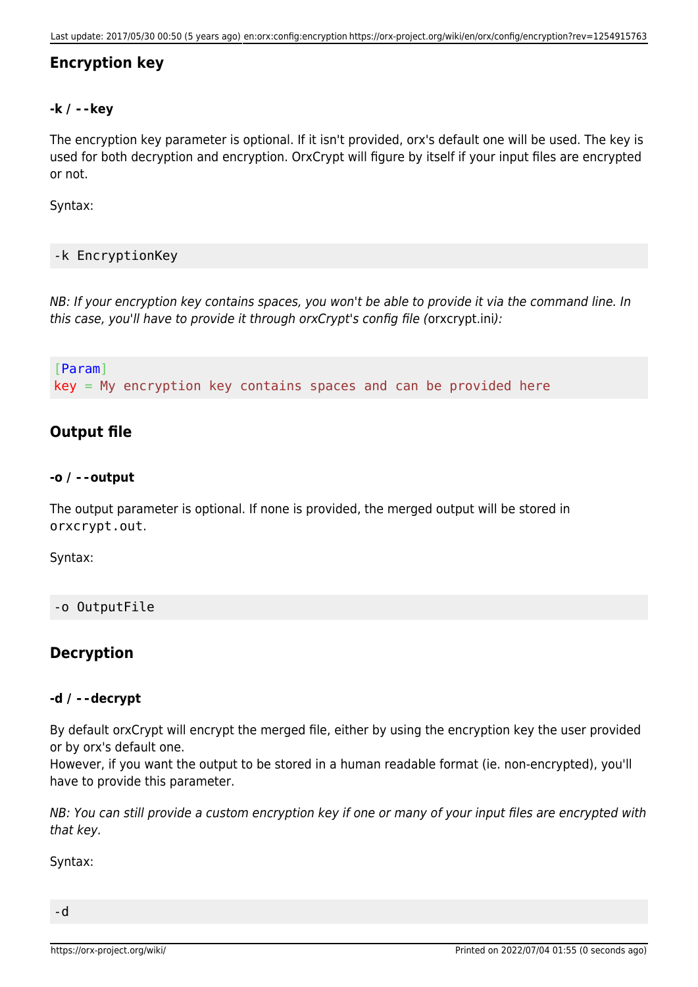## **Encryption key**

#### **-k / --key**

The encryption key parameter is optional. If it isn't provided, orx's default one will be used. The key is used for both decryption and encryption. OrxCrypt will figure by itself if your input files are encrypted or not.

Syntax:

#### -k EncryptionKey

NB: If your encryption key contains spaces, you won't be able to provide it via the command line. In this case, you'll have to provide it through orxCrypt's config file (orxcrypt.ini):

[Param]  $key = My encryption key contains spaces and can be provided here$ 

### **Output file**

#### **-o / --output**

The output parameter is optional. If none is provided, the merged output will be stored in orxcrypt.out.

Syntax:

#### -o OutputFile

### **Decryption**

#### **-d / --decrypt**

By default orxCrypt will encrypt the merged file, either by using the encryption key the user provided or by orx's default one.

However, if you want the output to be stored in a human readable format (ie. non-encrypted), you'll have to provide this parameter.

NB: You can still provide a custom encryption key if one or many of your input files are encrypted with that key.

Syntax:

-d